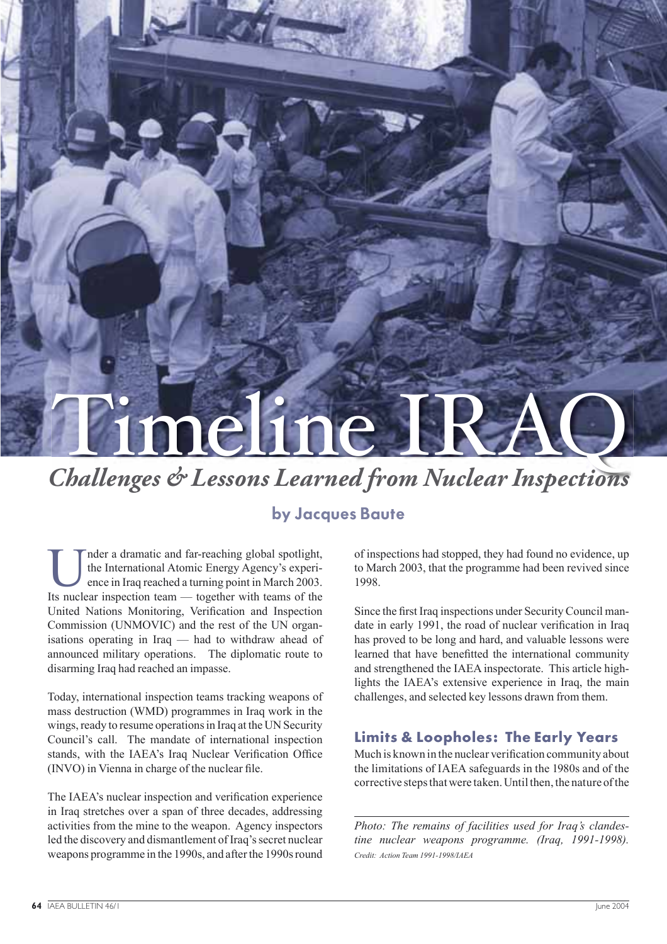# neline IR

*Challenges & Lessons Learned from Nuclear Inspections*

# by Jacques Baute

nder a dramatic and far-reaching global spotlight, the International Atomic Energy Agency's experience in Iraq reached a turning point in March 2003. Its nuclear inspection team — together with teams of the United Nations Monitoring, Verification and Inspection Commission (UNMOVIC) and the rest of the UN organisations operating in Iraq — had to withdraw ahead of announced military operations. The diplomatic route to disarming Iraq had reached an impasse.

Today, international inspection teams tracking weapons of mass destruction (WMD) programmes in Iraq work in the wings, ready to resume operations in Iraq at the UN Security Council's call. The mandate of international inspection stands, with the IAEA's Iraq Nuclear Verification Office (INVO) in Vienna in charge of the nuclear file.

The IAEA's nuclear inspection and verification experience in Iraq stretches over a span of three decades, addressing activities from the mine to the weapon. Agency inspectors led the discovery and dismantlement of Iraq's secret nuclear weapons programme in the 1990s, and after the 1990s round

of inspections had stopped, they had found no evidence, up to March 2003, that the programme had been revived since 1998.

Since the first Iraq inspections under Security Council mandate in early 1991, the road of nuclear verification in Iraq has proved to be long and hard, and valuable lessons were learned that have benefitted the international community and strengthened the IAEA inspectorate. This article highlights the IAEA's extensive experience in Iraq, the main challenges, and selected key lessons drawn from them.

### **Limits & Loopholes: The Early Years**

Much is known in the nuclear verification community about the limitations of IAEA safeguards in the 1980s and of the corrective steps that were taken. Until then, the nature of the

*Photo: The remains of facilities used for Iraq's clandestine nuclear weapons programme. (Iraq, 1991-1998). Credit: Action Team 1991-1998/IAEA*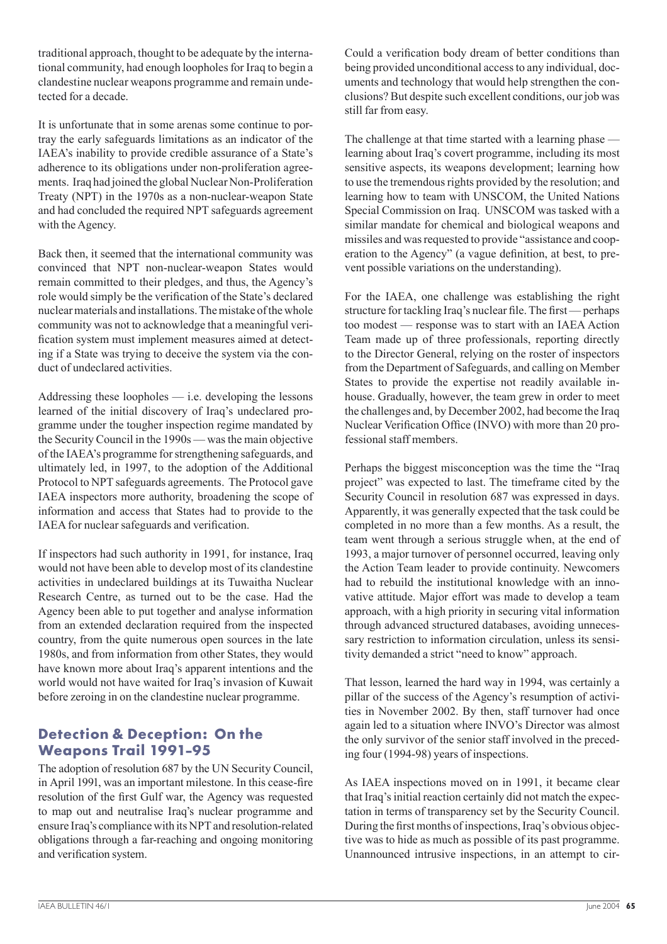traditional approach, thought to be adequate by the international community, had enough loopholes for Iraq to begin a clandestine nuclear weapons programme and remain undetected for a decade.

It is unfortunate that in some arenas some continue to portray the early safeguards limitations as an indicator of the IAEA's inability to provide credible assurance of a State's adherence to its obligations under non-proliferation agreements. Iraq had joined the global Nuclear Non-Proliferation Treaty (NPT) in the 1970s as a non-nuclear-weapon State and had concluded the required NPT safeguards agreement with the Agency.

Back then, it seemed that the international community was convinced that NPT non-nuclear-weapon States would remain committed to their pledges, and thus, the Agency's role would simply be the verification of the State's declared nuclear materials and installations. The mistake of the whole community was not to acknowledge that a meaningful verification system must implement measures aimed at detecting if a State was trying to deceive the system via the conduct of undeclared activities.

Addressing these loopholes — i.e. developing the lessons learned of the initial discovery of Iraq's undeclared programme under the tougher inspection regime mandated by the Security Council in the 1990s — was the main objective of the IAEA's programme for strengthening safeguards, and ultimately led, in 1997, to the adoption of the Additional Protocol to NPT safeguards agreements. The Protocol gave IAEA inspectors more authority, broadening the scope of information and access that States had to provide to the IAEA for nuclear safeguards and verification.

If inspectors had such authority in 1991, for instance, Iraq would not have been able to develop most of its clandestine activities in undeclared buildings at its Tuwaitha Nuclear Research Centre, as turned out to be the case. Had the Agency been able to put together and analyse information from an extended declaration required from the inspected country, from the quite numerous open sources in the late 1980s, and from information from other States, they would have known more about Iraq's apparent intentions and the world would not have waited for Iraq's invasion of Kuwait before zeroing in on the clandestine nuclear programme.

### **Detection & Deception: On the Weapons Trail 1991-95**

The adoption of resolution 687 by the UN Security Council, in April 1991, was an important milestone. In this cease-fire resolution of the first Gulf war, the Agency was requested to map out and neutralise Iraq's nuclear programme and ensure Iraq's compliance with its NPT and resolution-related obligations through a far-reaching and ongoing monitoring and verification system.

Could a verification body dream of better conditions than being provided unconditional access to any individual, documents and technology that would help strengthen the conclusions? But despite such excellent conditions, our job was still far from easy.

The challenge at that time started with a learning phase learning about Iraq's covert programme, including its most sensitive aspects, its weapons development; learning how to use the tremendous rights provided by the resolution; and learning how to team with UNSCOM, the United Nations Special Commission on Iraq. UNSCOM was tasked with a similar mandate for chemical and biological weapons and missiles and was requested to provide "assistance and cooperation to the Agency" (a vague definition, at best, to prevent possible variations on the understanding).

For the IAEA, one challenge was establishing the right structure for tackling Iraq's nuclear file. The first — perhaps too modest — response was to start with an IAEA Action Team made up of three professionals, reporting directly to the Director General, relying on the roster of inspectors from the Department of Safeguards, and calling on Member States to provide the expertise not readily available inhouse. Gradually, however, the team grew in order to meet the challenges and, by December 2002, had become the Iraq Nuclear Verification Office (INVO) with more than 20 professional staff members.

Perhaps the biggest misconception was the time the "Iraq project" was expected to last. The timeframe cited by the Security Council in resolution 687 was expressed in days. Apparently, it was generally expected that the task could be completed in no more than a few months. As a result, the team went through a serious struggle when, at the end of 1993, a major turnover of personnel occurred, leaving only the Action Team leader to provide continuity. Newcomers had to rebuild the institutional knowledge with an innovative attitude. Major effort was made to develop a team approach, with a high priority in securing vital information through advanced structured databases, avoiding unnecessary restriction to information circulation, unless its sensitivity demanded a strict "need to know" approach.

That lesson, learned the hard way in 1994, was certainly a pillar of the success of the Agency's resumption of activities in November 2002. By then, staff turnover had once again led to a situation where INVO's Director was almost the only survivor of the senior staff involved in the preceding four (1994-98) years of inspections.

As IAEA inspections moved on in 1991, it became clear that Iraq's initial reaction certainly did not match the expectation in terms of transparency set by the Security Council. During the first months of inspections, Iraq's obvious objective was to hide as much as possible of its past programme. Unannounced intrusive inspections, in an attempt to cir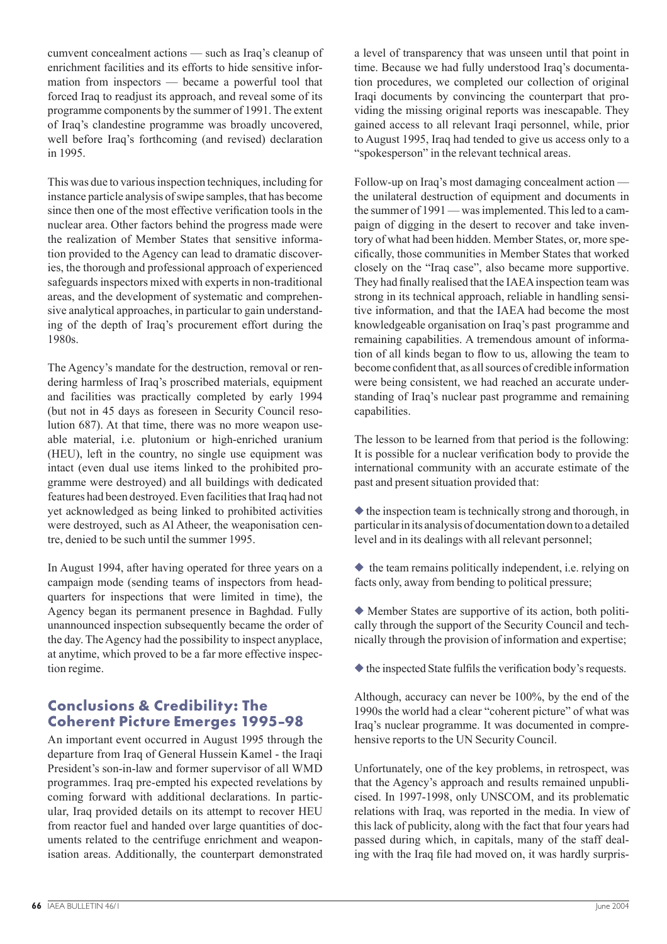cumvent concealment actions — such as Iraq's cleanup of enrichment facilities and its efforts to hide sensitive information from inspectors — became a powerful tool that forced Iraq to readjust its approach, and reveal some of its programme components by the summer of 1991. The extent of Iraq's clandestine programme was broadly uncovered, well before Iraq's forthcoming (and revised) declaration in 1995.

This was due to various inspection techniques, including for instance particle analysis of swipe samples, that has become since then one of the most effective verification tools in the nuclear area. Other factors behind the progress made were the realization of Member States that sensitive information provided to the Agency can lead to dramatic discoveries, the thorough and professional approach of experienced safeguards inspectors mixed with experts in non-traditional areas, and the development of systematic and comprehensive analytical approaches, in particular to gain understanding of the depth of Iraq's procurement effort during the 1980s.

The Agency's mandate for the destruction, removal or rendering harmless of Iraq's proscribed materials, equipment and facilities was practically completed by early 1994 (but not in 45 days as foreseen in Security Council resolution 687). At that time, there was no more weapon useable material, i.e. plutonium or high-enriched uranium (HEU), left in the country, no single use equipment was intact (even dual use items linked to the prohibited programme were destroyed) and all buildings with dedicated features had been destroyed. Even facilities that Iraq had not yet acknowledged as being linked to prohibited activities were destroyed, such as Al Atheer, the weaponisation centre, denied to be such until the summer 1995.

In August 1994, after having operated for three years on a campaign mode (sending teams of inspectors from headquarters for inspections that were limited in time), the Agency began its permanent presence in Baghdad. Fully unannounced inspection subsequently became the order of the day. The Agency had the possibility to inspect anyplace, at anytime, which proved to be a far more effective inspection regime.

### **Conclusions & Credibility: The Coherent Picture Emerges 1995-98**

An important event occurred in August 1995 through the departure from Iraq of General Hussein Kamel - the Iraqi President's son-in-law and former supervisor of all WMD programmes. Iraq pre-empted his expected revelations by coming forward with additional declarations. In particular, Iraq provided details on its attempt to recover HEU from reactor fuel and handed over large quantities of documents related to the centrifuge enrichment and weaponisation areas. Additionally, the counterpart demonstrated

a level of transparency that was unseen until that point in time. Because we had fully understood Iraq's documentation procedures, we completed our collection of original Iraqi documents by convincing the counterpart that providing the missing original reports was inescapable. They gained access to all relevant Iraqi personnel, while, prior to August 1995, Iraq had tended to give us access only to a "spokesperson" in the relevant technical areas.

Follow-up on Iraq's most damaging concealment action the unilateral destruction of equipment and documents in the summer of 1991 — was implemented. This led to a campaign of digging in the desert to recover and take inventory of what had been hidden. Member States, or, more specifically, those communities in Member States that worked closely on the "Iraq case", also became more supportive. They had finally realised that the IAEA inspection team was strong in its technical approach, reliable in handling sensitive information, and that the IAEA had become the most knowledgeable organisation on Iraq's past programme and remaining capabilities. A tremendous amount of information of all kinds began to flow to us, allowing the team to become confident that, as all sources of credible information were being consistent, we had reached an accurate understanding of Iraq's nuclear past programme and remaining capabilities.

The lesson to be learned from that period is the following: It is possible for a nuclear verification body to provide the international community with an accurate estimate of the past and present situation provided that:

 $\blacklozenge$  the inspection team is technically strong and thorough, in particular in its analysis of documentation down to a detailed level and in its dealings with all relevant personnel;

◆ the team remains politically independent, i.e. relying on facts only, away from bending to political pressure;

◆ Member States are supportive of its action, both politically through the support of the Security Council and technically through the provision of information and expertise;

 $\blacklozenge$  the inspected State fulfils the verification body's requests.

Although, accuracy can never be 100%, by the end of the 1990s the world had a clear "coherent picture" of what was Iraq's nuclear programme. It was documented in comprehensive reports to the UN Security Council.

Unfortunately, one of the key problems, in retrospect, was that the Agency's approach and results remained unpublicised. In 1997-1998, only UNSCOM, and its problematic relations with Iraq, was reported in the media. In view of this lack of publicity, along with the fact that four years had passed during which, in capitals, many of the staff dealing with the Iraq file had moved on, it was hardly surpris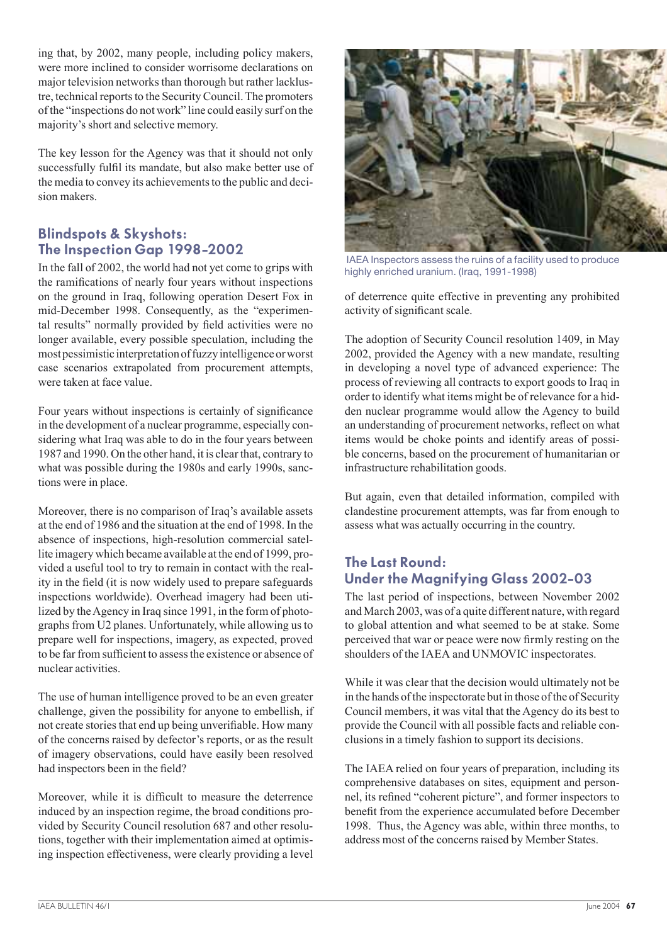ing that, by 2002, many people, including policy makers, were more inclined to consider worrisome declarations on major television networks than thorough but rather lacklustre, technical reports to the Security Council. The promoters of the "inspections do not work" line could easily surf on the majority's short and selective memory.

The key lesson for the Agency was that it should not only successfully fulfil its mandate, but also make better use of the media to convey its achievements to the public and decision makers.

### Blindspots & Skyshots: The Inspection Gap 1998-2002

In the fall of 2002, the world had not yet come to grips with the ramifications of nearly four years without inspections on the ground in Iraq, following operation Desert Fox in mid-December 1998. Consequently, as the "experimental results" normally provided by field activities were no longer available, every possible speculation, including the most pessimistic interpretation of fuzzy intelligence or worst case scenarios extrapolated from procurement attempts, were taken at face value.

Four years without inspections is certainly of significance in the development of a nuclear programme, especially considering what Iraq was able to do in the four years between 1987 and 1990. On the other hand, it is clear that, contrary to what was possible during the 1980s and early 1990s, sanctions were in place.

Moreover, there is no comparison of Iraq's available assets at the end of 1986 and the situation at the end of 1998. In the absence of inspections, high-resolution commercial satellite imagery which became available at the end of 1999, provided a useful tool to try to remain in contact with the reality in the field (it is now widely used to prepare safeguards inspections worldwide). Overhead imagery had been utilized by the Agency in Iraq since 1991, in the form of photographs from U2 planes. Unfortunately, while allowing us to prepare well for inspections, imagery, as expected, proved to be far from sufficient to assess the existence or absence of nuclear activities.

The use of human intelligence proved to be an even greater challenge, given the possibility for anyone to embellish, if not create stories that end up being unverifiable. How many of the concerns raised by defector's reports, or as the result of imagery observations, could have easily been resolved had inspectors been in the field?

Moreover, while it is difficult to measure the deterrence induced by an inspection regime, the broad conditions provided by Security Council resolution 687 and other resolutions, together with their implementation aimed at optimising inspection effectiveness, were clearly providing a level



 IAEA Inspectors assess the ruins of a facility used to produce highly enriched uranium. (Iraq, 1991-1998)

of deterrence quite effective in preventing any prohibited activity of significant scale.

The adoption of Security Council resolution 1409, in May 2002, provided the Agency with a new mandate, resulting in developing a novel type of advanced experience: The process of reviewing all contracts to export goods to Iraq in order to identify what items might be of relevance for a hidden nuclear programme would allow the Agency to build an understanding of procurement networks, reflect on what items would be choke points and identify areas of possible concerns, based on the procurement of humanitarian or infrastructure rehabilitation goods.

But again, even that detailed information, compiled with clandestine procurement attempts, was far from enough to assess what was actually occurring in the country.

### The Last Round: Under the Magnifying Glass 2002-03

The last period of inspections, between November 2002 and March 2003, was of a quite different nature, with regard to global attention and what seemed to be at stake. Some perceived that war or peace were now firmly resting on the shoulders of the IAEA and UNMOVIC inspectorates.

While it was clear that the decision would ultimately not be in the hands of the inspectorate but in those of the of Security Council members, it was vital that the Agency do its best to provide the Council with all possible facts and reliable conclusions in a timely fashion to support its decisions.

The IAEA relied on four years of preparation, including its comprehensive databases on sites, equipment and personnel, its refined "coherent picture", and former inspectors to benefit from the experience accumulated before December 1998. Thus, the Agency was able, within three months, to address most of the concerns raised by Member States.